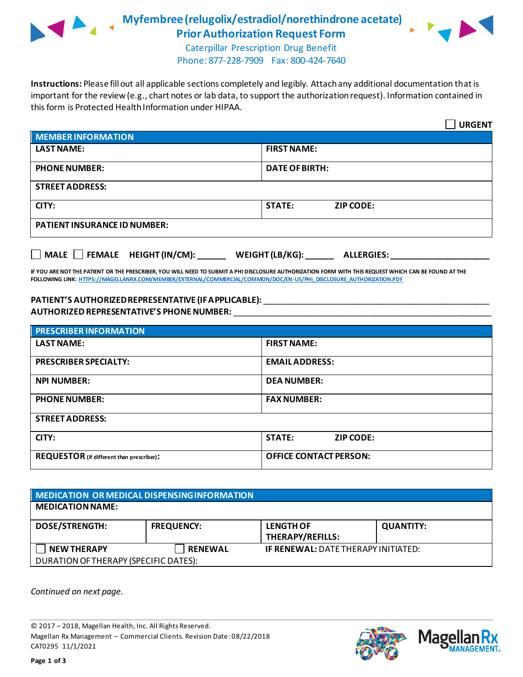

**Myfembree(relugolix/estradiol/norethindrone acetate) Prior Authorization Request Form**



Caterpillar Prescription Drug Benefit Phone: 877-228-7909 Fax: 800-424-7640

**Instructions:** Please fill out all applicable sections completely and legibly. Attach any additional documentation that is important for the review (e.g., chart notes or lab data, to support the authorization request). Information contained in this form is Protected Health Information under HIPAA.

|                                                                                   | <b>URGENT</b>                     |  |  |  |
|-----------------------------------------------------------------------------------|-----------------------------------|--|--|--|
| <b>MEMBER INFORMATION</b>                                                         |                                   |  |  |  |
| <b>LAST NAME:</b>                                                                 | <b>FIRST NAME:</b>                |  |  |  |
| <b>PHONE NUMBER:</b>                                                              | <b>DATE OF BIRTH:</b>             |  |  |  |
| <b>STREET ADDRESS:</b>                                                            |                                   |  |  |  |
| CITY:                                                                             | <b>STATE:</b><br><b>ZIP CODE:</b> |  |  |  |
| <b>PATIENT INSURANCE ID NUMBER:</b>                                               |                                   |  |  |  |
| $\Box$ MALE $\Box$ FEMALE HEIGHT (IN/CM):<br>WEIGHT (LB/KG):<br><b>ALLERGIES:</b> |                                   |  |  |  |

**IF YOU ARE NOT THE PATIENT OR THE PRESCRIBER, YOU WILL NEED TO SUBMIT A PHI DISCLOSURE AUTHORIZATION FORM WITH THIS REQUEST WHICH CAN BE FOUND AT THE FOLLOWING LINK[: HTTPS://MAGELLANRX.COM/MEMBER/EXTERNAL/COMMERCIAL/COMMON/DOC/EN-US/PHI\\_DISCLOSURE\\_AUTHORIZATION.PDF](https://magellanrx.com/member/external/commercial/common/doc/en-us/PHI_Disclosure_Authorization.pdf)**

## **PATIENT'S AUTHORIZED REPRESENTATIVE (IF APPLICABLE):** \_\_\_\_\_\_\_\_\_\_\_\_\_\_\_\_\_\_\_\_\_\_\_\_\_\_\_\_\_\_\_\_\_\_\_\_\_\_\_\_\_\_\_\_\_\_\_\_ **AUTHORIZED REPRESENTATIVE'S PHONE NUMBER:** \_\_\_\_\_\_\_\_\_\_\_\_\_\_\_\_\_\_\_\_\_\_\_\_\_\_\_\_\_\_\_\_\_\_\_\_\_\_\_\_\_\_\_\_\_\_\_\_\_\_\_\_\_\_\_

| <b>PRESCRIBER INFORMATION</b>             |                                   |  |  |
|-------------------------------------------|-----------------------------------|--|--|
| <b>LAST NAME:</b>                         | <b>FIRST NAME:</b>                |  |  |
| <b>PRESCRIBER SPECIALTY:</b>              | <b>EMAIL ADDRESS:</b>             |  |  |
| <b>NPI NUMBER:</b>                        | <b>DEA NUMBER:</b>                |  |  |
| <b>PHONE NUMBER:</b>                      | <b>FAX NUMBER:</b>                |  |  |
| <b>STREET ADDRESS:</b>                    |                                   |  |  |
| CITY:                                     | <b>STATE:</b><br><b>ZIP CODE:</b> |  |  |
| REQUESTOR (if different than prescriber): | <b>OFFICE CONTACT PERSON:</b>     |  |  |

| MEDICATION OR MEDICAL DISPENSING INFORMATION |                   |                                            |                  |  |  |
|----------------------------------------------|-------------------|--------------------------------------------|------------------|--|--|
| <b>MEDICATION NAME:</b>                      |                   |                                            |                  |  |  |
| <b>DOSE/STRENGTH:</b>                        | <b>FREQUENCY:</b> | <b>LENGTH OF</b><br>THERAPY/REFILLS:       | <b>QUANTITY:</b> |  |  |
| <b>NEW THERAPY</b>                           | <b>RENEWAL</b>    | <b>IF RENEWAL: DATE THERAPY INITIATED:</b> |                  |  |  |
| DURATION OF THERAPY (SPECIFIC DATES):        |                   |                                            |                  |  |  |

*Continued on next page.*

© 2017 – 2018, Magellan Health, Inc. All Rights Reserved. Magellan Rx Management – Commercial Clients. Revision Date: 08/22/2018 CAT0295 11/1/2021



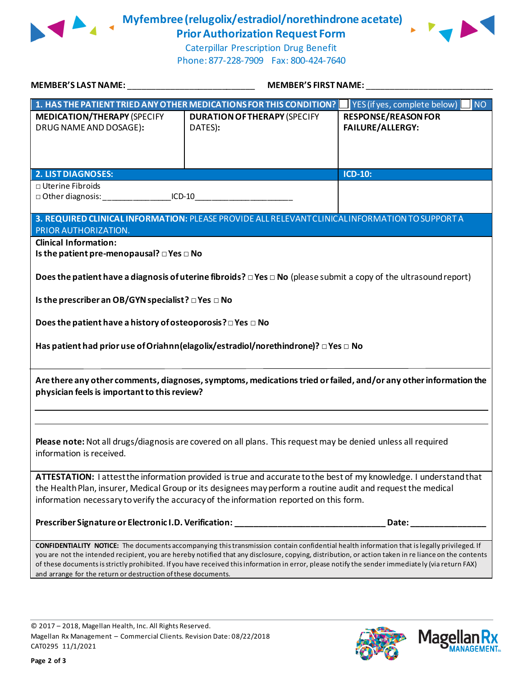

**Myfembree (relugolix/estradiol/norethindrone acetate) Prior Authorization Request Form**



Caterpillar Prescription Drug Benefit Phone: 877-228-7909 Fax: 800-424-7640

| <b>MEMBER'S LAST NAME:</b>                                                                                                                                                                                                                                                                                                                                                                                                                                                                                                      | <b>MEMBER'S FIRST NAME:</b>                    |                                                       |  |  |
|---------------------------------------------------------------------------------------------------------------------------------------------------------------------------------------------------------------------------------------------------------------------------------------------------------------------------------------------------------------------------------------------------------------------------------------------------------------------------------------------------------------------------------|------------------------------------------------|-------------------------------------------------------|--|--|
| 1. HAS THE PATIENT TRIED ANY OTHER MEDICATIONS FOR THIS CONDITION?                                                                                                                                                                                                                                                                                                                                                                                                                                                              |                                                | <b>NO</b><br>YES (if yes, complete below)             |  |  |
| <b>MEDICATION/THERAPY (SPECIFY</b><br>DRUG NAME AND DOSAGE):                                                                                                                                                                                                                                                                                                                                                                                                                                                                    | <b>DURATION OF THERAPY (SPECIFY</b><br>DATES): | <b>RESPONSE/REASON FOR</b><br><b>FAILURE/ALLERGY:</b> |  |  |
| <b>2. LIST DIAGNOSES:</b>                                                                                                                                                                                                                                                                                                                                                                                                                                                                                                       |                                                | <b>ICD-10:</b>                                        |  |  |
| □ Uterine Fibroids<br>□ Other diagnosis: ___________________ICD-10___________________________________                                                                                                                                                                                                                                                                                                                                                                                                                           |                                                |                                                       |  |  |
| 3. REQUIRED CLINICAL INFORMATION: PLEASE PROVIDE ALL RELEVANT CLINICAL INFORMATION TO SUPPORT A<br>PRIOR AUTHORIZATION.                                                                                                                                                                                                                                                                                                                                                                                                         |                                                |                                                       |  |  |
| <b>Clinical Information:</b><br>Is the patient pre-menopausal? $\square$ Yes $\square$ No                                                                                                                                                                                                                                                                                                                                                                                                                                       |                                                |                                                       |  |  |
| Does the patient have a diagnosis of uterine fibroids? $\Box$ Yes $\Box$ No (please submit a copy of the ultrasound report)                                                                                                                                                                                                                                                                                                                                                                                                     |                                                |                                                       |  |  |
| Is the prescriber an OB/GYN specialist? $\square$ Yes $\square$ No                                                                                                                                                                                                                                                                                                                                                                                                                                                              |                                                |                                                       |  |  |
| Does the patient have a history of osteoporosis? $\square$ Yes $\square$ No                                                                                                                                                                                                                                                                                                                                                                                                                                                     |                                                |                                                       |  |  |
| Has patient had prior use of Oriahnn (elagolix/estradiol/norethindrone)? $\square$ Yes $\square$ No                                                                                                                                                                                                                                                                                                                                                                                                                             |                                                |                                                       |  |  |
| Are there any other comments, diagnoses, symptoms, medications tried or failed, and/or any other information the<br>physician feels is important to this review?                                                                                                                                                                                                                                                                                                                                                                |                                                |                                                       |  |  |
|                                                                                                                                                                                                                                                                                                                                                                                                                                                                                                                                 |                                                |                                                       |  |  |
| Please note: Not all drugs/diagnosis are covered on all plans. This request may be denied unless all required<br>information is received.                                                                                                                                                                                                                                                                                                                                                                                       |                                                |                                                       |  |  |
| ATTESTATION: I attest the information provided is true and accurate to the best of my knowledge. I understand that<br>the Health Plan, insurer, Medical Group or its designees may perform a routine audit and request the medical<br>information necessary to verify the accuracy of the information reported on this form.                                                                                                                                                                                                    |                                                |                                                       |  |  |
| Prescriber Signature or Electronic I.D. Verification: ____________________                                                                                                                                                                                                                                                                                                                                                                                                                                                      |                                                | Date:                                                 |  |  |
| <b>CONFIDENTIALITY NOTICE:</b> The documents accompanying this transmission contain confidential health information that is legally privileged. If<br>you are not the intended recipient, you are hereby notified that any disclosure, copying, distribution, or action taken in re liance on the contents<br>of these documents is strictly prohibited. If you have received this information in error, please notify the sender immediately (via return FAX)<br>and arrange for the return or destruction of these documents. |                                                |                                                       |  |  |